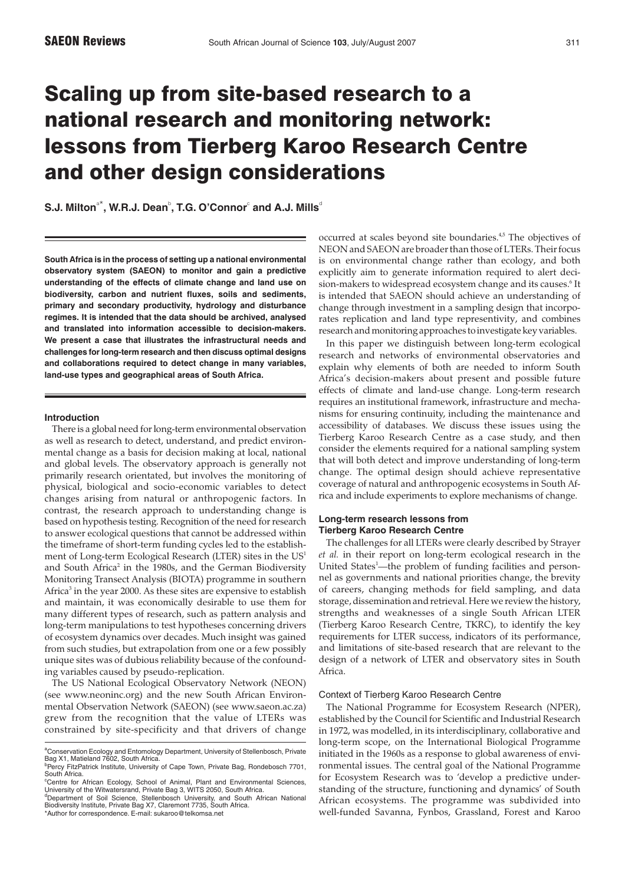# Scaling up from site-based research to a national research and monitoring network: lessons from Tierberg Karoo Research Centre and other design considerations

 $\mathbf{S}.\mathsf{J}.$  Milton $^{\circ\ast},$  W.R.J. Dean $^{\circ},$  T.G. O'Connor $^{\circ}$  and A.J. Mills $^{\circ}$ 

**South Africa is in the process of setting up a national environmental observatory system (SAEON) to monitor and gain a predictive understanding of the effects of climate change and land use on biodiversity, carbon and nutrient fluxes, soils and sediments, primary and secondary productivity, hydrology and disturbance regimes. It is intended that the data should be archived, analysed and translated into information accessible to decision-makers. We present a case that illustrates the infrastructural needs and challenges for long-term research and then discuss optimal designs and collaborations required to detect change in many variables, land-use types and geographical areas of South Africa.**

## **Introduction**

There is a global need for long-term environmental observation as well as research to detect, understand, and predict environmental change as a basis for decision making at local, national and global levels. The observatory approach is generally not primarily research orientated, but involves the monitoring of physical, biological and socio-economic variables to detect changes arising from natural or anthropogenic factors. In contrast, the research approach to understanding change is based on hypothesis testing. Recognition of the need for research to answer ecological questions that cannot be addressed within the timeframe of short-term funding cycles led to the establishment of Long-term Ecological Research (LTER) sites in the US<sup>1</sup> and South Africa<sup>2</sup> in the 1980s, and the German Biodiversity Monitoring Transect Analysis (BIOTA) programme in southern Africa<sup>3</sup> in the year 2000. As these sites are expensive to establish and maintain, it was economically desirable to use them for many different types of research, such as pattern analysis and long-term manipulations to test hypotheses concerning drivers of ecosystem dynamics over decades. Much insight was gained from such studies, but extrapolation from one or a few possibly unique sites was of dubious reliability because of the confounding variables caused by pseudo-replication.

The US National Ecological Observatory Network (NEON) (see www.neoninc.org) and the new South African Environmental Observation Network (SAEON) (see www.saeon.ac.za) grew from the recognition that the value of LTERs was constrained by site-specificity and that drivers of change occurred at scales beyond site boundaries.4,5 The objectives of NEON and SAEON are broader than those of LTERs. Their focus is on environmental change rather than ecology, and both explicitly aim to generate information required to alert decision-makers to widespread ecosystem change and its causes.<sup>6</sup> It is intended that SAEON should achieve an understanding of change through investment in a sampling design that incorporates replication and land type representivity, and combines research and monitoring approaches to investigate key variables.

In this paper we distinguish between long-term ecological research and networks of environmental observatories and explain why elements of both are needed to inform South Africa's decision-makers about present and possible future effects of climate and land-use change. Long-term research requires an institutional framework, infrastructure and mechanisms for ensuring continuity, including the maintenance and accessibility of databases. We discuss these issues using the Tierberg Karoo Research Centre as a case study, and then consider the elements required for a national sampling system that will both detect and improve understanding of long-term change. The optimal design should achieve representative coverage of natural and anthropogenic ecosystems in South Africa and include experiments to explore mechanisms of change.

# **Long-term research lessons from Tierberg Karoo Research Centre**

The challenges for all LTERs were clearly described by Strayer *et al.* in their report on long-term ecological research in the United States<sup>1</sup>—the problem of funding facilities and personnel as governments and national priorities change, the brevity of careers, changing methods for field sampling, and data storage, dissemination and retrieval. Here we review the history, strengths and weaknesses of a single South African LTER (Tierberg Karoo Research Centre, TKRC), to identify the key requirements for LTER success, indicators of its performance, and limitations of site-based research that are relevant to the design of a network of LTER and observatory sites in South Africa.

## Context of Tierberg Karoo Research Centre

The National Programme for Ecosystem Research (NPER), established by the Council for Scientific and Industrial Research in 1972, was modelled, in its interdisciplinary, collaborative and long-term scope, on the International Biological Programme initiated in the 1960s as a response to global awareness of environmental issues. The central goal of the National Programme for Ecosystem Research was to 'develop a predictive understanding of the structure, functioning and dynamics' of South African ecosystems. The programme was subdivided into well-funded Savanna, Fynbos, Grassland, Forest and Karoo

<sup>&</sup>lt;sup>a</sup>Conservation Ecology and Entomology Department, University of Stellenbosch, Private<br>Bag X1, Matieland 7602, South Africa.

<sup>&</sup>lt;sup>b</sup>Percy FitzPatrick Institute, University of Cape Town, Private Bag, Rondebosch 7701,<br>South Africa.<br>"Centre for African Ecology, School of Animal, Plant and Environmental Sciences,<br>University of the Witwatersrand, Private

<sup>&</sup>lt;sup>d</sup>Department of Soil Science, Stellenbosch University, and South African National<br>Biodiversity Institute, Private Bag X7, Claremont 7735, South Africa.<br>\*Author for correspondence. E-mail: sukaroo@telkomsa.net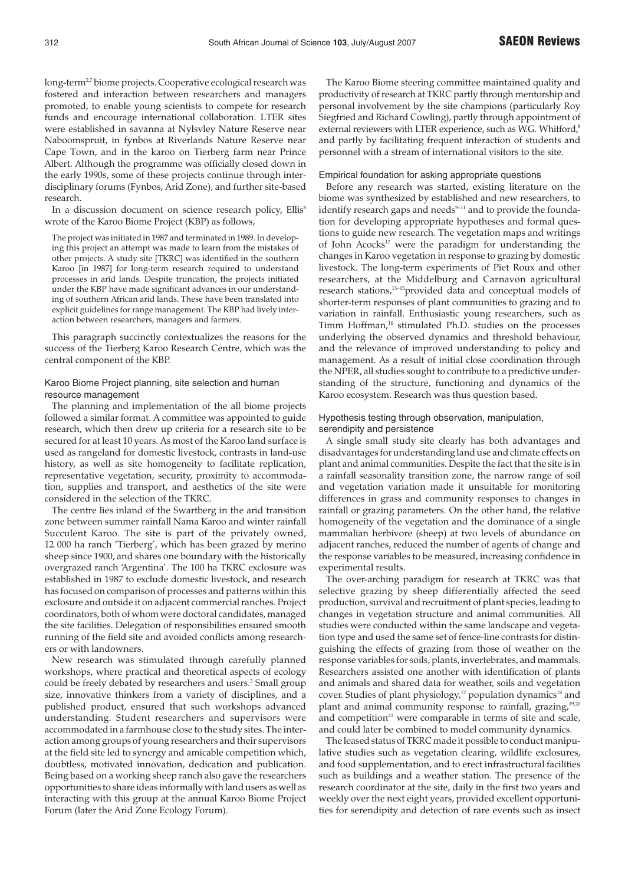long-term<sup>2,7</sup> biome projects. Cooperative ecological research was fostered and interaction between researchers and managers promoted, to enable young scientists to compete for research funds and encourage international collaboration. LTER sites were established in savanna at Nylsvley Nature Reserve near Naboomspruit, in fynbos at Riverlands Nature Reserve near Cape Town, and in the karoo on Tierberg farm near Prince Albert. Although the programme was officially closed down in the early 1990s, some of these projects continue through interdisciplinary forums (Fynbos, Arid Zone), and further site-based research.

In a discussion document on science research policy, Ellis<sup>8</sup> wrote of the Karoo Biome Project (KBP) as follows,

The project was initiated in 1987 and terminated in 1989. In developing this project an attempt was made to learn from the mistakes of other projects. A study site [TKRC] was identified in the southern Karoo [in 1987] for long-term research required to understand processes in arid lands. Despite truncation, the projects initiated under the KBP have made significant advances in our understanding of southern African arid lands. These have been translated into explicit guidelines for range management. The KBP had lively interaction between researchers, managers and farmers.

This paragraph succinctly contextualizes the reasons for the success of the Tierberg Karoo Research Centre, which was the central component of the KBP.

# Karoo Biome Project planning, site selection and human resource management

The planning and implementation of the all biome projects followed a similar format. A committee was appointed to guide research, which then drew up criteria for a research site to be secured for at least 10 years. As most of the Karoo land surface is used as rangeland for domestic livestock, contrasts in land-use history, as well as site homogeneity to facilitate replication, representative vegetation, security, proximity to accommodation, supplies and transport, and aesthetics of the site were considered in the selection of the TKRC.

The centre lies inland of the Swartberg in the arid transition zone between summer rainfall Nama Karoo and winter rainfall Succulent Karoo. The site is part of the privately owned, 12 000 ha ranch 'Tierberg', which has been grazed by merino sheep since 1900, and shares one boundary with the historically overgrazed ranch 'Argentina'. The 100 ha TKRC exclosure was established in 1987 to exclude domestic livestock, and research has focused on comparison of processes and patterns within this exclosure and outside it on adjacent commercial ranches. Project coordinators, both of whom were doctoral candidates, managed the site facilities. Delegation of responsibilities ensured smooth running of the field site and avoided conflicts among researchers or with landowners.

New research was stimulated through carefully planned workshops, where practical and theoretical aspects of ecology could be freely debated by researchers and users.<sup>2</sup> Small group size, innovative thinkers from a variety of disciplines, and a published product, ensured that such workshops advanced understanding. Student researchers and supervisors were accommodated in a farmhouse close to the study sites. The interaction among groups of young researchers and their supervisors at the field site led to synergy and amicable competition which, doubtless, motivated innovation, dedication and publication. Being based on a working sheep ranch also gave the researchers opportunities to share ideas informally with land users as well as interacting with this group at the annual Karoo Biome Project Forum (later the Arid Zone Ecology Forum).

The Karoo Biome steering committee maintained quality and productivity of research at TKRC partly through mentorship and personal involvement by the site champions (particularly Roy Siegfried and Richard Cowling), partly through appointment of external reviewers with LTER experience, such as W.G. Whitford,<sup>8</sup> and partly by facilitating frequent interaction of students and personnel with a stream of international visitors to the site.

#### Empirical foundation for asking appropriate questions

Before any research was started, existing literature on the biome was synthesized by established and new researchers, to identify research gaps and needs<sup>9-11</sup> and to provide the foundation for developing appropriate hypotheses and formal questions to guide new research. The vegetation maps and writings of John Acocks<sup>12</sup> were the paradigm for understanding the changes in Karoo vegetation in response to grazing by domestic livestock. The long-term experiments of Piet Roux and other researchers, at the Middelburg and Carnavon agricultural research stations,<sup>13-15</sup>provided data and conceptual models of shorter-term responses of plant communities to grazing and to variation in rainfall. Enthusiastic young researchers, such as Timm Hoffman,<sup>16</sup> stimulated Ph.D. studies on the processes underlying the observed dynamics and threshold behaviour, and the relevance of improved understanding to policy and management. As a result of initial close coordination through the NPER, all studies sought to contribute to a predictive understanding of the structure, functioning and dynamics of the Karoo ecosystem. Research was thus question based.

# Hypothesis testing through observation, manipulation, serendipity and persistence

A single small study site clearly has both advantages and disadvantages for understanding land use and climate effects on plant and animal communities. Despite the fact that the site is in a rainfall seasonality transition zone, the narrow range of soil and vegetation variation made it unsuitable for monitoring differences in grass and community responses to changes in rainfall or grazing parameters. On the other hand, the relative homogeneity of the vegetation and the dominance of a single mammalian herbivore (sheep) at two levels of abundance on adjacent ranches, reduced the number of agents of change and the response variables to be measured, increasing confidence in experimental results.

The over-arching paradigm for research at TKRC was that selective grazing by sheep differentially affected the seed production, survival and recruitment of plant species, leading to changes in vegetation structure and animal communities. All studies were conducted within the same landscape and vegetation type and used the same set of fence-line contrasts for distinguishing the effects of grazing from those of weather on the response variables for soils, plants, invertebrates, and mammals. Researchers assisted one another with identification of plants and animals and shared data for weather, soils and vegetation cover. Studies of plant physiology,<sup>17</sup> population dynamics<sup>18</sup> and plant and animal community response to rainfall, grazing, $19,20$ and competition<sup>21</sup> were comparable in terms of site and scale, and could later be combined to model community dynamics.

The leased status of TKRC made it possible to conduct manipulative studies such as vegetation clearing, wildlife exclosures, and food supplementation, and to erect infrastructural facilities such as buildings and a weather station. The presence of the research coordinator at the site, daily in the first two years and weekly over the next eight years, provided excellent opportunities for serendipity and detection of rare events such as insect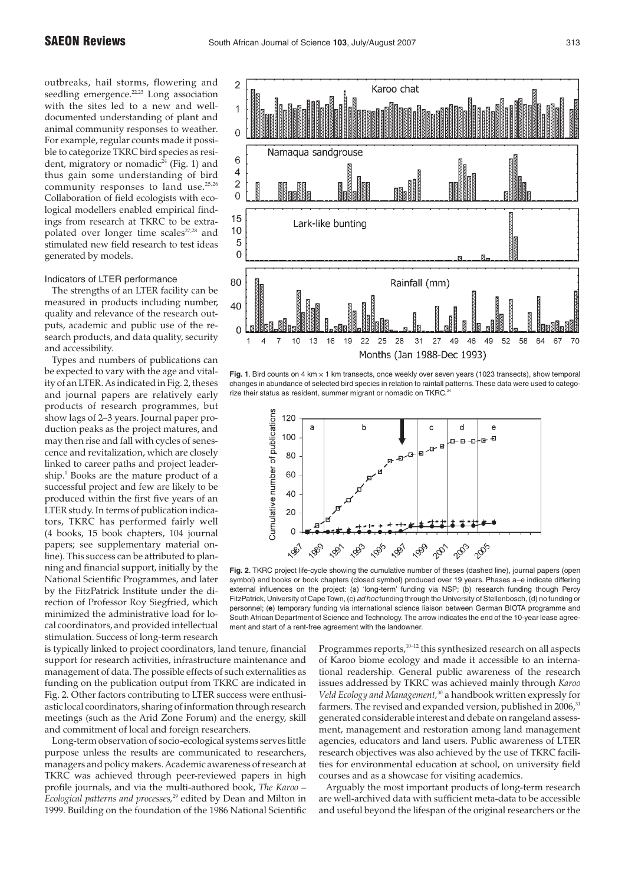outbreaks, hail storms, flowering and seedling emergence.<sup>22,23</sup> Long association with the sites led to a new and welldocumented understanding of plant and animal community responses to weather. For example, regular counts made it possible to categorize TKRC bird species as resident, migratory or nomadic<sup>24</sup> (Fig. 1) and thus gain some understanding of bird community responses to land use.<sup>25,26</sup> Collaboration of field ecologists with ecological modellers enabled empirical findings from research at TKRC to be extrapolated over longer time scales<sup>27,28</sup> and stimulated new field research to test ideas generated by models.

#### Indicators of LTER performance

The strengths of an LTER facility can be measured in products including number, quality and relevance of the research outputs, academic and public use of the research products, and data quality, security and accessibility.

Types and numbers of publications can be expected to vary with the age and vitality of an LTER. As indicated in Fig. 2, theses and journal papers are relatively early products of research programmes, but show lags of 2–3 years. Journal paper production peaks as the project matures, and may then rise and fall with cycles of senescence and revitalization, which are closely linked to career paths and project leadership.<sup>1</sup> Books are the mature product of a successful project and few are likely to be produced within the first five years of an LTER study. In terms of publication indicators, TKRC has performed fairly well (4 books, 15 book chapters, 104 journal papers; see supplementary material online). This success can be attributed to planning and financial support, initially by the National Scientific Programmes, and later by the FitzPatrick Institute under the direction of Professor Roy Siegfried, which minimized the administrative load for local coordinators, and provided intellectual stimulation. Success of long-term research

is typically linked to project coordinators, land tenure, financial support for research activities, infrastructure maintenance and management of data. The possible effects of such externalities as funding on the publication output from TKRC are indicated in Fig. 2. Other factors contributing to LTER success were enthusiastic local coordinators, sharing of information through research meetings (such as the Arid Zone Forum) and the energy, skill and commitment of local and foreign researchers.

Long-term observation of socio-ecological systems serves little purpose unless the results are communicated to researchers, managers and policy makers. Academic awareness of research at TKRC was achieved through peer-reviewed papers in high profile journals, and via the multi-authored book, *The Karoo – Ecological patterns and processes,*<sup>29</sup> edited by Dean and Milton in 1999. Building on the foundation of the 1986 National Scientific



**Fig. 1**. Bird counts on 4 km × 1 km transects, once weekly over seven years (1023 transects), show temporal changes in abundance of selected bird species in relation to rainfall patterns. These data were used to categorize their status as resident, summer migrant or nomadic on TKRC.<sup>2</sup>



**Fig. 2**. TKRC project life-cycle showing the cumulative number of theses (dashed line), journal papers (open symbol) and books or book chapters (closed symbol) produced over 19 years. Phases a–e indicate differing external influences on the project: (a) 'long-term' funding via NSP; (b) research funding though Percy FitzPatrick, University of Cape Town, (c) ad hoc funding through the University of Stellenbosch, (d) no funding or personnel; (**e**) temporary funding via international science liaison between German BIOTA programme and South African Department of Science and Technology. The arrow indicates the end of the 10-year lease agreement and start of a rent-free agreement with the landowner.

Programmes reports,<sup>10-12</sup> this synthesized research on all aspects of Karoo biome ecology and made it accessible to an international readership. General public awareness of the research issues addressed by TKRC was achieved mainly through *Karoo Veld Ecology and Management,*<sup>30</sup> a handbook written expressly for farmers. The revised and expanded version, published in 2006,<sup>31</sup> generated considerable interest and debate on rangeland assessment, management and restoration among land management agencies, educators and land users. Public awareness of LTER research objectives was also achieved by the use of TKRC facilities for environmental education at school, on university field courses and as a showcase for visiting academics.

Arguably the most important products of long-term research are well-archived data with sufficient meta-data to be accessible and useful beyond the lifespan of the original researchers or the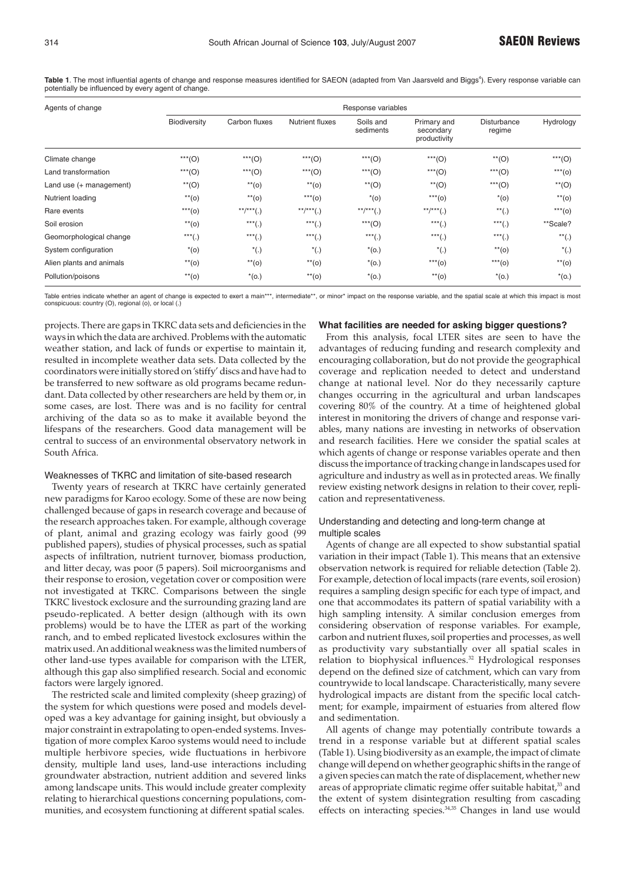| Agents of change         | Response variables |                  |                        |                        |                                          |                              |                               |
|--------------------------|--------------------|------------------|------------------------|------------------------|------------------------------------------|------------------------------|-------------------------------|
|                          | Biodiversity       | Carbon fluxes    | <b>Nutrient fluxes</b> | Soils and<br>sediments | Primary and<br>secondary<br>productivity | <b>Disturbance</b><br>regime | Hydrology                     |
| Climate change           | $***(O)$           | $***(O)$         | $***(O)$               | $***(O)$               | $***(O)$                                 | $**$ (O)                     | $***(O)$                      |
| Land transformation      | ***(O)             | $***(O)$         | $***(O)$               | $***(O)$               | $***(O)$                                 | $***(O)$                     | $***$ (0)                     |
| Land use (+ management)  | $**$ (O)           | $**$ (0)         | $**$ (0)               | $*$ <sup>(O)</sup>     | $**$ (O)                                 | $***(O)$                     | $**$ (O)                      |
| Nutrient loading         | $**$ (0)           | $**$ (0)         | $***$ (0)              | $*(o)$                 | $***$ (0)                                | $*(o)$                       | $**$ (0)                      |
| Rare events              | $***$ (0)          | $***$ /*** $(.)$ | $***/***(.)$           | $***$ /*** $(.)$       | $***/***(.)$                             | $^{**}(.)$                   | $***$ (0)                     |
| Soil erosion             | $**$ (0)           | $***(.)$         | $***(.)$               | $***(O)$               | $***(.)$                                 | $***(.)$                     | **Scale?                      |
| Geomorphological change  | $***(.)$           | $***(.)$         | $***(.)$               | $***(.)$               | $***(.)$                                 | $***(.)$                     | $\overline{\ }^{\ast\ast}(.)$ |
| System configuration     | $*(o)$             | $^*(.)$          | $^*(.)$                | $*(o.)$                | $^*(.)$                                  | $**$ (0)                     | $^*(.)$                       |
| Alien plants and animals | $**$ (0)           | $**$ (0)         | $**$ (0)               | $*(o.)$                | $***$ (0)                                | $***$ (0)                    | $**$ (0)                      |
| Pollution/poisons        | $**$ (0)           | $*(o.)$          | $**$ (0)               | $*(o.)$                | $**$ (0)                                 | $*(o.)$                      | $*(o.)$                       |

Table 1. The most influential agents of change and response measures identified for SAEON (adapted from Van Jaarsveld and Biggs<sup>4</sup>). Every response variable can potentially be influenced by every agent of change.

Table entries indicate whether an agent of change is expected to exert a main\*\*\*, intermediate\*\*, or minor\* impact on the response variable, and the spatial scale at which this impact is most conspicuous: country (O), regional (o), or local (.)

projects. There are gaps in TKRC data sets and deficiencies in the ways in which the data are archived. Problems with the automatic weather station, and lack of funds or expertise to maintain it, resulted in incomplete weather data sets. Data collected by the coordinators were initially stored on 'stiffy' discs and have had to be transferred to new software as old programs became redundant. Data collected by other researchers are held by them or, in some cases, are lost. There was and is no facility for central archiving of the data so as to make it available beyond the lifespans of the researchers. Good data management will be central to success of an environmental observatory network in South Africa.

# Weaknesses of TKRC and limitation of site-based research

Twenty years of research at TKRC have certainly generated new paradigms for Karoo ecology. Some of these are now being challenged because of gaps in research coverage and because of the research approaches taken. For example, although coverage of plant, animal and grazing ecology was fairly good (99 published papers), studies of physical processes, such as spatial aspects of infiltration, nutrient turnover, biomass production, and litter decay, was poor (5 papers). Soil microorganisms and their response to erosion, vegetation cover or composition were not investigated at TKRC. Comparisons between the single TKRC livestock exclosure and the surrounding grazing land are pseudo-replicated. A better design (although with its own problems) would be to have the LTER as part of the working ranch, and to embed replicated livestock exclosures within the matrix used. An additional weakness was the limited numbers of other land-use types available for comparison with the LTER, although this gap also simplified research. Social and economic factors were largely ignored.

The restricted scale and limited complexity (sheep grazing) of the system for which questions were posed and models developed was a key advantage for gaining insight, but obviously a major constraint in extrapolating to open-ended systems. Investigation of more complex Karoo systems would need to include multiple herbivore species, wide fluctuations in herbivore density, multiple land uses, land-use interactions including groundwater abstraction, nutrient addition and severed links among landscape units. This would include greater complexity relating to hierarchical questions concerning populations, communities, and ecosystem functioning at different spatial scales.

#### **What facilities are needed for asking bigger questions?**

From this analysis, focal LTER sites are seen to have the advantages of reducing funding and research complexity and encouraging collaboration, but do not provide the geographical coverage and replication needed to detect and understand change at national level. Nor do they necessarily capture changes occurring in the agricultural and urban landscapes covering 80% of the country. At a time of heightened global interest in monitoring the drivers of change and response variables, many nations are investing in networks of observation and research facilities. Here we consider the spatial scales at which agents of change or response variables operate and then discuss the importance of tracking change in landscapes used for agriculture and industry as well as in protected areas. We finally review existing network designs in relation to their cover, replication and representativeness.

# Understanding and detecting and long-term change at multiple scales

Agents of change are all expected to show substantial spatial variation in their impact (Table 1). This means that an extensive observation network is required for reliable detection (Table 2). For example, detection of local impacts (rare events, soil erosion) requires a sampling design specific for each type of impact, and one that accommodates its pattern of spatial variability with a high sampling intensity. A similar conclusion emerges from considering observation of response variables. For example, carbon and nutrient fluxes, soil properties and processes, as well as productivity vary substantially over all spatial scales in relation to biophysical influences.<sup>32</sup> Hydrological responses depend on the defined size of catchment, which can vary from countrywide to local landscape. Characteristically, many severe hydrological impacts are distant from the specific local catchment; for example, impairment of estuaries from altered flow and sedimentation.

All agents of change may potentially contribute towards a trend in a response variable but at different spatial scales (Table 1). Using biodiversity as an example, the impact of climate change will depend on whether geographic shifts in the range of a given species can match the rate of displacement, whether new areas of appropriate climatic regime offer suitable habitat,<sup>33</sup> and the extent of system disintegration resulting from cascading effects on interacting species.<sup>34,35</sup> Changes in land use would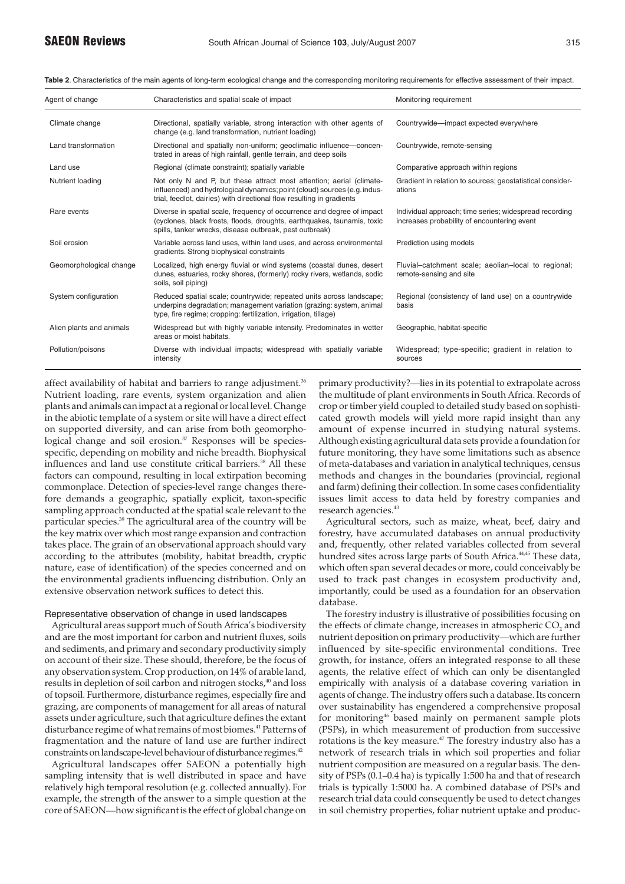| Agent of change          | Characteristics and spatial scale of impact                                                                                                                                                                                | Monitoring requirement                                                                                |  |  |
|--------------------------|----------------------------------------------------------------------------------------------------------------------------------------------------------------------------------------------------------------------------|-------------------------------------------------------------------------------------------------------|--|--|
| Climate change           | Directional, spatially variable, strong interaction with other agents of<br>change (e.g. land transformation, nutrient loading)                                                                                            | Countrywide-impact expected everywhere                                                                |  |  |
| Land transformation      | Directional and spatially non-uniform; geoclimatic influence-concen-<br>trated in areas of high rainfall, gentle terrain, and deep soils                                                                                   | Countrywide, remote-sensing                                                                           |  |  |
| Land use                 | Regional (climate constraint); spatially variable                                                                                                                                                                          | Comparative approach within regions                                                                   |  |  |
| Nutrient loading         | Not only N and P, but these attract most attention; aerial (climate-<br>influenced) and hydrological dynamics; point (cloud) sources (e.g. indus-<br>trial, feedlot, dairies) with directional flow resulting in gradients | Gradient in relation to sources; geostatistical consider-<br>ations                                   |  |  |
| Rare events              | Diverse in spatial scale, frequency of occurrence and degree of impact<br>(cyclones, black frosts, floods, droughts, earthquakes, tsunamis, toxic<br>spills, tanker wrecks, disease outbreak, pest outbreak)               | Individual approach; time series; widespread recording<br>increases probability of encountering event |  |  |
| Soil erosion             | Variable across land uses, within land uses, and across environmental<br>gradients. Strong biophysical constraints                                                                                                         | Prediction using models                                                                               |  |  |
| Geomorphological change  | Localized, high energy fluvial or wind systems (coastal dunes, desert<br>dunes, estuaries, rocky shores, (formerly) rocky rivers, wetlands, sodic<br>soils, soil piping)                                                   | Fluvial-catchment scale; aeolian-local to regional;<br>remote-sensing and site                        |  |  |
| System configuration     | Reduced spatial scale; countrywide; repeated units across landscape;<br>underpins degradation; management variation (grazing: system, animal<br>type, fire regime; cropping: fertilization, irrigation, tillage)           | Regional (consistency of land use) on a countrywide<br>basis                                          |  |  |
| Alien plants and animals | Widespread but with highly variable intensity. Predominates in wetter<br>areas or moist habitats.                                                                                                                          | Geographic, habitat-specific                                                                          |  |  |
| Pollution/poisons        | Diverse with individual impacts; widespread with spatially variable<br>intensity                                                                                                                                           | Widespread; type-specific; gradient in relation to<br>sources                                         |  |  |

**Table 2**. Characteristics of the main agents of long-term ecological change and the corresponding monitoring requirements for effective assessment of their impact.

affect availability of habitat and barriers to range adjustment.<sup>36</sup> Nutrient loading, rare events, system organization and alien plants and animals can impact at a regional or local level. Change in the abiotic template of a system or site will have a direct effect on supported diversity, and can arise from both geomorphological change and soil erosion.<sup>37</sup> Responses will be speciesspecific, depending on mobility and niche breadth. Biophysical influences and land use constitute critical barriers.<sup>38</sup> All these factors can compound, resulting in local extirpation becoming commonplace. Detection of species-level range changes therefore demands a geographic, spatially explicit, taxon-specific sampling approach conducted at the spatial scale relevant to the particular species.39 The agricultural area of the country will be the key matrix over which most range expansion and contraction takes place. The grain of an observational approach should vary according to the attributes (mobility, habitat breadth, cryptic nature, ease of identification) of the species concerned and on the environmental gradients influencing distribution. Only an extensive observation network suffices to detect this.

## Representative observation of change in used landscapes

Agricultural areas support much of South Africa's biodiversity and are the most important for carbon and nutrient fluxes, soils and sediments, and primary and secondary productivity simply on account of their size. These should, therefore, be the focus of any observation system. Crop production, on 14% of arable land, results in depletion of soil carbon and nitrogen stocks,<sup>40</sup> and loss of topsoil. Furthermore, disturbance regimes, especially fire and grazing, are components of management for all areas of natural assets under agriculture, such that agriculture defines the extant disturbance regime of what remains of most biomes.<sup>41</sup> Patterns of fragmentation and the nature of land use are further indirect constraints on landscape-level behaviour of disturbance regimes.42

Agricultural landscapes offer SAEON a potentially high sampling intensity that is well distributed in space and have relatively high temporal resolution (e.g. collected annually). For example, the strength of the answer to a simple question at the core of SAEON—how significant is the effect of global change on primary productivity?—lies in its potential to extrapolate across the multitude of plant environments in South Africa. Records of crop or timber yield coupled to detailed study based on sophisticated growth models will yield more rapid insight than any amount of expense incurred in studying natural systems. Although existing agricultural data sets provide a foundation for future monitoring, they have some limitations such as absence of meta-databases and variation in analytical techniques, census methods and changes in the boundaries (provincial, regional and farm) defining their collection. In some cases confidentiality issues limit access to data held by forestry companies and research agencies.<sup>43</sup>

Agricultural sectors, such as maize, wheat, beef, dairy and forestry, have accumulated databases on annual productivity and, frequently, other related variables collected from several hundred sites across large parts of South Africa.<sup>44,45</sup> These data, which often span several decades or more, could conceivably be used to track past changes in ecosystem productivity and, importantly, could be used as a foundation for an observation database.

The forestry industry is illustrative of possibilities focusing on the effects of climate change, increases in atmospheric  $CO<sub>2</sub>$  and nutrient deposition on primary productivity—which are further influenced by site-specific environmental conditions. Tree growth, for instance, offers an integrated response to all these agents, the relative effect of which can only be disentangled empirically with analysis of a database covering variation in agents of change. The industry offers such a database. Its concern over sustainability has engendered a comprehensive proposal for monitoring<sup>46</sup> based mainly on permanent sample plots (PSPs), in which measurement of production from successive rotations is the key measure.<sup>47</sup> The forestry industry also has a network of research trials in which soil properties and foliar nutrient composition are measured on a regular basis. The density of PSPs (0.1–0.4 ha) is typically 1:500 ha and that of research trials is typically 1:5000 ha. A combined database of PSPs and research trial data could consequently be used to detect changes in soil chemistry properties, foliar nutrient uptake and produc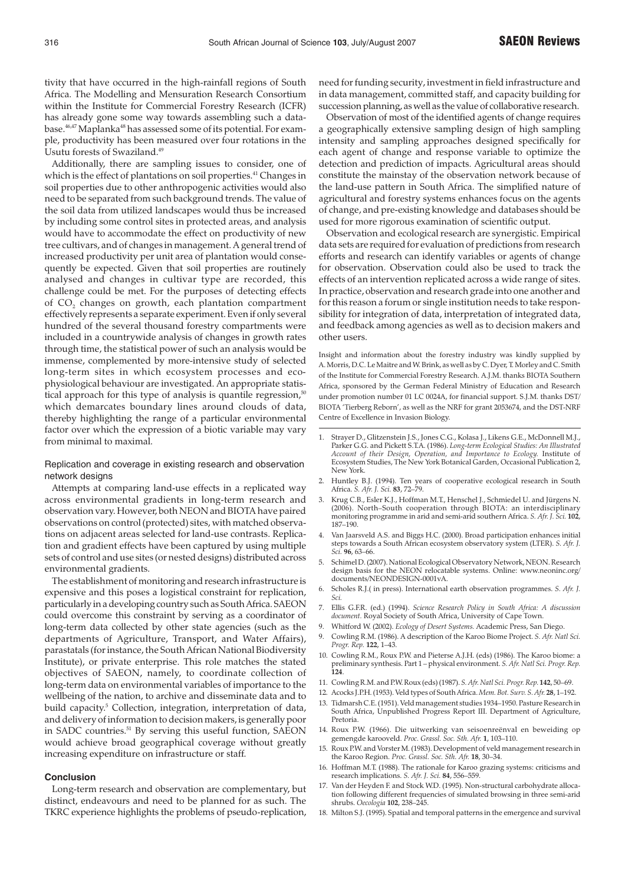tivity that have occurred in the high-rainfall regions of South Africa. The Modelling and Mensuration Research Consortium within the Institute for Commercial Forestry Research (ICFR) has already gone some way towards assembling such a database.<sup>46,47</sup> Maplanka<sup>48</sup> has assessed some of its potential. For example, productivity has been measured over four rotations in the Usutu forests of Swaziland.<sup>49</sup>

Additionally, there are sampling issues to consider, one of which is the effect of plantations on soil properties.<sup>41</sup> Changes in soil properties due to other anthropogenic activities would also need to be separated from such background trends. The value of the soil data from utilized landscapes would thus be increased by including some control sites in protected areas, and analysis would have to accommodate the effect on productivity of new tree cultivars, and of changes in management. A general trend of increased productivity per unit area of plantation would consequently be expected. Given that soil properties are routinely analysed and changes in cultivar type are recorded, this challenge could be met. For the purposes of detecting effects of CO<sub>2</sub> changes on growth, each plantation compartment effectively represents a separate experiment. Even if only several hundred of the several thousand forestry compartments were included in a countrywide analysis of changes in growth rates through time, the statistical power of such an analysis would be immense, complemented by more-intensive study of selected long-term sites in which ecosystem processes and ecophysiological behaviour are investigated. An appropriate statistical approach for this type of analysis is quantile regression,<sup>50</sup> which demarcates boundary lines around clouds of data, thereby highlighting the range of a particular environmental factor over which the expression of a biotic variable may vary from minimal to maximal.

# Replication and coverage in existing research and observation network designs

Attempts at comparing land-use effects in a replicated way across environmental gradients in long-term research and observation vary. However, both NEON and BIOTA have paired observations on control (protected) sites, with matched observations on adjacent areas selected for land-use contrasts. Replication and gradient effects have been captured by using multiple sets of control and use sites (or nested designs) distributed across environmental gradients.

The establishment of monitoring and research infrastructure is expensive and this poses a logistical constraint for replication, particularly in a developing country such as South Africa. SAEON could overcome this constraint by serving as a coordinator of long-term data collected by other state agencies (such as the departments of Agriculture, Transport, and Water Affairs), parastatals (for instance, the South African National Biodiversity Institute), or private enterprise. This role matches the stated objectives of SAEON, namely, to coordinate collection of long-term data on environmental variables of importance to the wellbeing of the nation, to archive and disseminate data and to build capacity.<sup>5</sup> Collection, integration, interpretation of data, and delivery of information to decision makers, is generally poor in SADC countries.51 By serving this useful function, SAEON would achieve broad geographical coverage without greatly increasing expenditure on infrastructure or staff.

# **Conclusion**

Long-term research and observation are complementary, but distinct, endeavours and need to be planned for as such. The TKRC experience highlights the problems of pseudo-replication,

need for funding security, investment in field infrastructure and in data management, committed staff, and capacity building for succession planning, as well as the value of collaborative research.

Observation of most of the identified agents of change requires a geographically extensive sampling design of high sampling intensity and sampling approaches designed specifically for each agent of change and response variable to optimize the detection and prediction of impacts. Agricultural areas should constitute the mainstay of the observation network because of the land-use pattern in South Africa. The simplified nature of agricultural and forestry systems enhances focus on the agents of change, and pre-existing knowledge and databases should be used for more rigorous examination of scientific output.

Observation and ecological research are synergistic. Empirical data sets are required for evaluation of predictions from research efforts and research can identify variables or agents of change for observation. Observation could also be used to track the effects of an intervention replicated across a wide range of sites. In practice, observation and research grade into one another and for this reason a forum or single institution needs to take responsibility for integration of data, interpretation of integrated data, and feedback among agencies as well as to decision makers and other users.

Insight and information about the forestry industry was kindly supplied by A. Morris, D.C. Le Maitre and W. Brink, as well as by C. Dyer, T. Morley and C. Smith of the Institute for Commercial Forestry Research. A.J.M. thanks BIOTA Southern Africa, sponsored by the German Federal Ministry of Education and Research under promotion number 01 LC 0024A, for financial support. S.J.M. thanks DST/ BIOTA 'Tierberg Reborn', as well as the NRF for grant 2053674, and the DST-NRF Centre of Excellence in Invasion Biology.

- 1. Strayer D., Glitzenstein J.S., Jones C.G., Kolasa J., Likens G.E., McDonnell M.J., Parker G.G. and Pickett S.T.A. (1986). *Long-term Ecological Studies: An Illustrated Account of their Design, Operation, and Importance to Ecology.* Institute of Ecosystem Studies, The New York Botanical Garden, Occasional Publication 2, New York.
- 2. Huntley B.J. (1994). Ten years of cooperative ecological research in South Africa. *S. Afr. J. Sci.* **83**, 72–79.
- 3. Krug C.B., Esler K.J., Hoffman M.T., Henschel J., Schmiedel U. and Jürgens N. (2006). North–South cooperation through BIOTA: an interdisciplinary monitoring programme in arid and semi-arid southern Africa. *S. Afr. J. Sci.* **102**, 187–190.
- 4. Van Jaarsveld A.S. and Biggs H.C. (2000). Broad participation enhances initial steps towards a South African ecosystem observatory system (LTER). *S. Afr. J. Sci.* **96**, 63–66.
- 5. Schimel D. (2007). National Ecological Observatory Network, NEON. Research design basis for the NEON relocatable systems. Online: www.neoninc.org/ documents/NEONDESIGN-0001vA.
- 6. Scholes R.J.( in press). International earth observation programmes. *S. Afr. J. Sci.*
- 7. Ellis G.F.R. (ed.) (1994). *Science Research Policy in South Africa: A discussion document.* Royal Society of South Africa, University of Cape Town.
- 9. Whitford W. (2002). *Ecology of Desert Systems.* Academic Press, San Diego.
- 9. Cowling R.M. (1986). A description of the Karoo Biome Project. *S. Afr. Natl Sci. Progr. Rep.* **122**, 1–43.
- 10. Cowling R.M., Roux P.W. and Pieterse A.J.H. (eds) (1986). The Karoo biome: a preliminary synthesis. Part 1 – physical environment. *S. Afr. Natl Sci. Progr. Rep.* **124**.
- 11. Cowling R.M. and P.W. Roux (eds) (1987). *S. Afr. Natl Sci. Progr. Rep.* **142**, 50–69.
- 12. Acocks J.P.H. (1953). Veld types of South Africa.*Mem. Bot. Surv. S. Afr.* **28**, 1–192.
- 13. Tidmarsh C.E. (1951). Veld management studies 1934–1950. Pasture Research in South Africa, Unpublished Progress Report III. Department of Agriculture, Pretoria.
- 14. Roux P.W. (1966). Die uitwerking van seisoenreënval en beweiding op gemengde karooveld. *Proc. Grassl. Soc. Sth. Afr.* **1**, 103–110.
- 15. Roux P.W. and Vorster M. (1983). Development of veld management research in the Karoo Region. *Proc. Grassl. Soc. Sth. Afr.* **18**, 30–34.
- 16. Hoffman M.T. (1988). The rationale for Karoo grazing systems: criticisms and research implications. *S. Afr. J. Sci.* **84**, 556–559.
- 17. Van der Heyden F. and Stock W.D. (1995). Non-structural carbohydrate allocation following different frequencies of simulated browsing in three semi-arid shrubs. *Oecologia* **102**, 238–245.
- 18. Milton S.J. (1995). Spatial and temporal patterns in the emergence and survival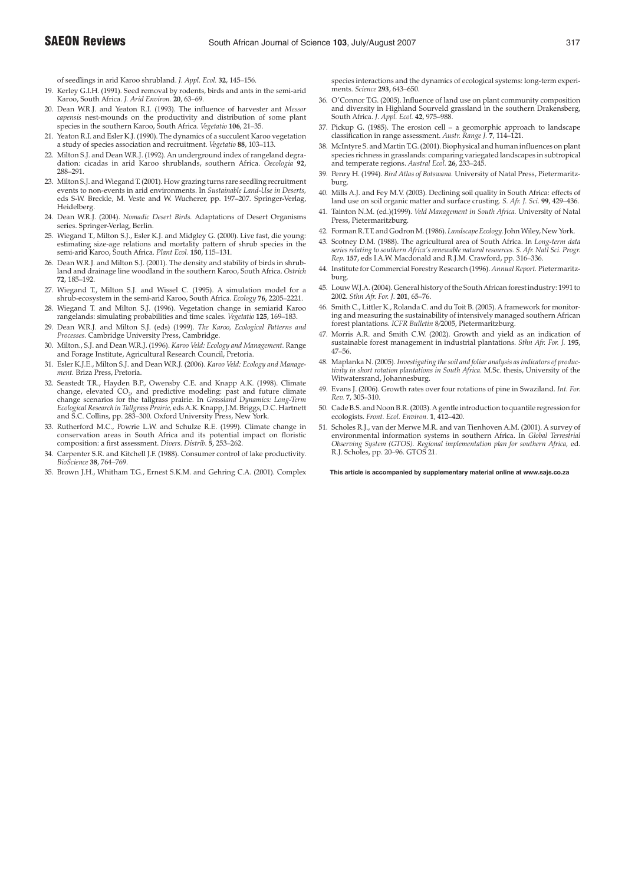- 19. Kerley G.I.H. (1991). Seed removal by rodents, birds and ants in the semi-arid Karoo, South Africa. *J. Arid Environ.* **20**, 63–69.
- 20. Dean W.R.J. and Yeaton R.I. (1993). The influence of harvester ant *Messor capensis* nest-mounds on the productivity and distribution of some plant species in the southern Karoo, South Africa. *Vegetatio* **106**, 21–35.
- 21. Yeaton R.I. and Esler K.J. (1990). The dynamics of a succulent Karoo vegetation a study of species association and recruitment. *Vegetatio* **88**, 103–113.
- 22. Milton S.J. and Dean W.R.J. (1992). An underground index of rangeland degradation: cicadas in arid Karoo shrublands, southern Africa. *Oecologia* **92**, 288–291.
- 23. Milton S.J. and Wiegand T. (2001). How grazing turns rare seedling recruitment events to non-events in arid environments. In *Sustainable Land-Use in Deserts,* eds S-W. Breckle, M. Veste and W. Wucherer, pp. 197–207. Springer-Verlag, Heidelberg.
- 24. Dean W.R.J. (2004). *Nomadic Desert Birds.* Adaptations of Desert Organisms series. Springer-Verlag, Berlin.
- 25. Wiegand T., Milton S.J., Esler K.J. and Midgley G. (2000). Live fast, die young: estimating size-age relations and mortality pattern of shrub species in the semi-arid Karoo, South Africa. *Plant Ecol.* **150**, 115–131.
- 26. Dean W.R.J. and Milton S.J. (2001). The density and stability of birds in shrubland and drainage line woodland in the southern Karoo, South Africa. *Ostrich* **72**, 185–192.
- 27. Wiegand T., Milton S.J. and Wissel C. (1995). A simulation model for a shrub-ecosystem in the semi-arid Karoo, South Africa. *Ecology* **76**, 2205–2221.
- 28. Wiegand T. and Milton S.J. (1996). Vegetation change in semiarid Karoo rangelands: simulating probabilities and time scales. *Vegetatio* **125**, 169–183.
- 29. Dean W.R.J. and Milton S.J. (eds) (1999). *The Karoo, Ecological Patterns and Processes.* Cambridge University Press, Cambridge.
- 30. Milton., S.J. and Dean W.R.J. (1996). *Karoo Veld: Ecology and Management.* Range and Forage Institute, Agricultural Research Council, Pretoria.
- 31. Esler K.J.E., Milton S.J. and Dean W.R.J. (2006). *Karoo Veld: Ecology and Management.* Briza Press, Pretoria.
- 32. Seastedt T.R., Hayden B.P., Owensby C.E. and Knapp A.K. (1998). Climate change, elevated  $CO<sub>2</sub>$  and predictive modeling: past and future climate change scenarios for the tallgrass prairie. In *Grassland Dynamics: Long-Term Ecological Research in Tallgrass Prairie,* eds A.K. Knapp, J.M. Briggs, D.C. Hartnett and S.C. Collins, pp. 283–300. Oxford University Press, New York.
- 33. Rutherford M.C., Powrie L.W. and Schulze R.E. (1999). Climate change in conservation areas in South Africa and its potential impact on floristic composition: a first assessment. *Divers. Distrib.* **5**, 253–262.
- 34. Carpenter S.R. and Kitchell J.F. (1988). Consumer control of lake productivity. *BioScience* **38**, 764–769.
- 35. Brown J.H., Whitham T.G., Ernest S.K.M. and Gehring C.A. (2001). Complex

species interactions and the dynamics of ecological systems: long-term experiments. *Science* **293**, 643–650.

- 36. O'Connor T.G. (2005). Influence of land use on plant community composition and diversity in Highland Sourveld grassland in the southern Drakensberg, South Africa. *J. Appl. Ecol.* **42**, 975–988.
- 37. Pickup G. (1985). The erosion cell a geomorphic approach to landscape classification in range assessment. *Austr. Range J.* **7**, 114–121.
- 38. McIntyre S. and Martin T.G. (2001). Biophysical and human influences on plant species richness in grasslands: comparing variegated landscapes in subtropical and temperate regions. *Austral Ecol.* **26**, 233–245.
- 39. Penry H. (1994). *Bird Atlas of Botswana.* University of Natal Press, Pietermaritzburg.
- 40. Mills A.J. and Fey M.V. (2003). Declining soil quality in South Africa: effects of land use on soil organic matter and surface crusting. *S. Afr. J. Sci.* **99**, 429–436.
- 41. Tainton N.M. (ed.)(1999). *Veld Management in South Africa.* University of Natal Press, Pietermaritzburg.
- 42. Forman R.T.T. and Godron M. (1986). *Landscape Ecology.*John Wiley, New York.
- 43. Scotney D.M. (1988). The agricultural area of South Africa. In *Long-term data series relating to southern Africa's renewable natural resources. S. Afr. Natl Sci. Progr. Rep.* **157**, eds I.A.W. Macdonald and R.J.M. Crawford, pp. 316–336.
- 44. Institute for Commercial Forestry Research (1996). *Annual Report.* Pietermaritzburg.
- 45. Louw W.J.A. (2004). General history of the South African forest industry: 1991 to 2002. *Sthn Afr. For. J.* **201**, 65–76.
- 46. Smith C., Littler K., Rolanda C. and du Toit B. (2005). A framework for monitoring and measuring the sustainability of intensively managed southern African forest plantations. *ICFR Bulletin* 8/2005, Pietermaritzburg.
- 47. Morris A.R. and Smith C.W. (2002). Growth and yield as an indication of sustainable forest management in industrial plantations. *Sthn Afr. For. J.* **195**, 47–56.
- 48. Maplanka N. (2005). *Investigating the soil and foliar analysis as indicators of productivity in short rotation plantations in South Africa.* M.Sc. thesis, University of the Witwatersrand, Johannesburg.
- 49. Evans J. (2006). Growth rates over four rotations of pine in Swaziland. *Int. For. Rev.* **7**, 305–310.
- 50. Cade B.S. and Noon B.R. (2003). A gentle introduction to quantile regression for ecologists. *Front. Ecol. Environ.* **1**, 412–420.
- 51. Scholes R.J., van der Merwe M.R. and van Tienhoven A.M. (2001). A survey of environmental information systems in southern Africa. In *Global Terrestrial Observing System (GTOS). Regional implementation plan for southern Africa,* ed. R.J. Scholes, pp. 20–96. GTOS 21.

**This article is accompanied by supplementary material online at www.sajs.co.za**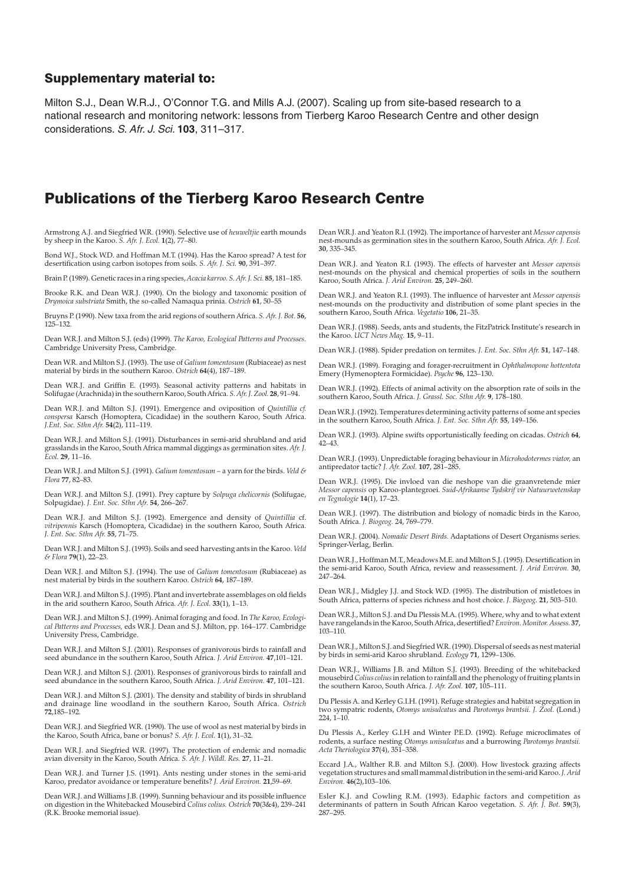# Supplementary material to:

Milton S.J., Dean W.R.J., O'Connor T.G. and Mills A.J. (2007). Scaling up from site-based research to a national research and monitoring network: lessons from Tierberg Karoo Research Centre and other design considerations. S. Afr. J. Sci. **103**, 311–317.

# Publications of the Tierberg Karoo Research Centre

Armstrong A.J. and Siegfried W.R. (1990). Selective use of *heuweltjie* earth mounds by sheep in the Karoo. *S. Afr. J. Ecol.* **1**(2), 77–80.

Bond W.J., Stock W.D. and Hoffman M.T. (1994). Has the Karoo spread? A test for desertification using carbon isotopes from soils. *S. Afr. J. Sci.* **90**, 391–397.

Brain P. (1989). Genetic races in a ring species,*Acacia karroo. S. Afr. J. Sci.* **85**, 181–185.

Brooke R.K. and Dean W.R.J. (1990). On the biology and taxonomic position of *Drymoica substriata* Smith, the so-called Namaqua prinia. *Ostrich* **61**, 50–55

Bruyns P. (1990). New taxa from the arid regions of southern Africa. *S. Afr. J. Bot.* **56**, 125–132.

Dean W.R.J. and Milton S.J. (eds) (1999). *The Karoo, Ecological Patterns and Processes.* Cambridge University Press, Cambridge.

Dean W.R. and Milton S.J. (1993). The use of *Galium tomentosum* (Rubiaceae) as nest material by birds in the southern Karoo. *Ostrich* **64**(4), 187–189.

Dean W.R.J. and Griffin E. (1993). Seasonal activity patterns and habitats in Solifugae (Arachnida) in the southern Karoo, South Africa. *S. Afr. J. Zool.* **28**, 91–94.

Dean W.R.J. and Milton S.J. (1991). Emergence and oviposition of *Quintillia cf. conspersa* Karsch (Homoptera, Cicadidae) in the southern Karoo, South Africa. *J.Ent. Soc. Sthn Afr.* **54**(2), 111–119.

Dean W.R.J. and Milton S.J. (1991). Disturbances in semi-arid shrubland and arid grasslands in the Karoo, South Africa mammal diggings as germination sites. *Afr. J. Ecol.* **29**, 11–16.

Dean W.R.J. and Milton S.J. (1991). *Galium tomentosum* – a yarn for the birds. *Veld & Flora* **77**, 82–83.

Dean W.R.J. and Milton S.J. (1991). Prey capture by *Solpuga chelicornis* (Solifugae, Solpugidae). *J. Ent. Soc. Sthn Afr.* **54**, 266–267.

Dean W.R.J. and Milton S.J. (1992). Emergence and density of *Quintillia* cf. *vitripennis* Karsch (Homoptera, Cicadidae) in the southern Karoo, South Africa. *J. Ent. Soc. Sthn Afr.* **55**, 71–75.

Dean W.R.J. and Milton S.J. (1993). Soils and seed harvesting ants in the Karoo. *Veld & Flora* **79**(1), 22–23.

Dean W.R.J. and Milton S.J. (1994). The use of *Galium tomentosum* (Rubiaceae) as nest material by birds in the southern Karoo. *Ostrich* **64**, 187–189.

Dean W.R.J. and Milton S.J. (1995). Plant and invertebrate assemblages on old fields in the arid southern Karoo, South Africa. *Afr. J. Ecol.* **33**(1), 1–13.

Dean W.R.J. and Milton S.J. (1999). Animal foraging and food. In *The Karoo, Ecological Patterns and Processes,* eds W.R.J. Dean and S.J. Milton, pp. 164–177. Cambridge University Press, Cambridge.

Dean W.R.J. and Milton S.J. (2001). Responses of granivorous birds to rainfall and seed abundance in the southern Karoo, South Africa. *J. Arid Environ.* **47**,101–121.

Dean W.R.J. and Milton S.J. (2001). Responses of granivorous birds to rainfall and seed abundance in the southern Karoo, South Africa. *J. Arid Environ.* **47**, 101–121.

Dean W.R.J. and Milton S.J. (2001). The density and stability of birds in shrubland and drainage line woodland in the southern Karoo, South Africa. *Ostrich* **72**,185–192.

Dean W.R.J. and Siegfried W.R. (1990). The use of wool as nest material by birds in the Karoo, South Africa, bane or bonus? *S. Afr. J. Ecol.* **1**(1), 31–32.

Dean W.R.J. and Siegfried W.R. (1997). The protection of endemic and nomadic avian diversity in the Karoo, South Africa. *S. Afr. J. Wildl. Res.* **27**, 11–21.

Dean W.R.J. and Turner J.S. (1991). Ants nesting under stones in the semi-arid Karoo, predator avoidance or temperature benefits? *J. Arid Environ.* **21**,59–69.

Dean W.R.J. and Williams J.B. (1999). Sunning behaviour and its possible influence on digestion in the Whitebacked Mousebird *Colius colius. Ostrich* **70**(3&4), 239–241 (R.K. Brooke memorial issue).

Dean W.R.J. and Yeaton R.I. (1992). The importance of harvester ant *Messor capensis* nest-mounds as germination sites in the southern Karoo, South Africa. *Afr. J. Ecol.* **30**, 335–345.

Dean W.R.J. and Yeaton R.I. (1993). The effects of harvester ant *Messor capensis* nest-mounds on the physical and chemical properties of soils in the southern Karoo, South Africa. *J. Arid Environ.* **25**, 249–260.

Dean W.R.J. and Yeaton R.I. (1993). The influence of harvester ant *Messor capensis* nest-mounds on the productivity and distribution of some plant species in the southern Karoo, South Africa. *Vegetatio* **106**, 21–35.

Dean W.R.J. (1988). Seeds, ants and students, the FitzPatrick Institute's research in the Karoo. *UCT News Mag.* **15**, 9–11.

Dean W.R.J. (1988). Spider predation on termites. *J. Ent. Soc. Sthn Afr.* **51**, 147–148.

Dean W.R.J. (1989). Foraging and forager-recruitment in *Ophthalmopone hottentota* Emery (Hymenoptera Formicidae). *Psyche* **96**, 123–130.

Dean W.R.J. (1992). Effects of animal activity on the absorption rate of soils in the southern Karoo, South Africa. *J. Grassl. Soc. Sthn Afr.* **9**, 178–180.

Dean W.R.J. (1992). Temperatures determining activity patterns of some ant species in the southern Karoo, South Africa. *J. Ent. Soc. Sthn Afr.* **55**, 149–156.

Dean W.R.J. (1993). Alpine swifts opportunistically feeding on cicadas. *Ostrich* **64**, 42–43.

Dean W.R.J. (1993). Unpredictable foraging behaviour in *Microhodotermes viator,* an antipredator tactic? *J. Afr. Zool.* **107**, 281–285.

Dean W.R.J. (1995). Die invloed van die neshope van die graanvretende mier *Messor capensis* op Karoo-plantegroei. *Suid-Afrikaanse Tydskrif vir Natuurwetenskap en Tegnologie* **14**(1), 17–23.

Dean W.R.J. (1997). The distribution and biology of nomadic birds in the Karoo, South Africa. *J. Biogeog.* 24, 769–779.

Dean W.R.J. (2004). *Nomadic Desert Birds.* Adaptations of Desert Organisms series. Springer-Verlag, Berlin.

Dean W.R.J., Hoffman M.T., Meadows M.E. and Milton S.J. (1995). Desertification in the semi-arid Karoo, South Africa, review and reassessment. *J. Arid Environ.* **30**, 247–264.

Dean W.R.J., Midgley J.J. and Stock W.D. (1995). The distribution of mistletoes in South Africa, patterns of species richness and host choice. *J. Biogeog.* **21**, 503–510.

Dean W.R.J., Milton S.J. and Du Plessis M.A. (1995). Where, why and to what extent have rangelands in the Karoo, South Africa, desertified?*Environ.Monitor. Assess.* **37**, 103–110.

Dean W.R.J., Milton S.J. and Siegfried W.R. (1990). Dispersal of seeds as nest material by birds in semi-arid Karoo shrubland. *Ecology* **71**, 1299–1306.

Dean W.R.J., Williams J.B. and Milton S.J. (1993). Breeding of the whitebacked mousebird*Colius colius*in relation to rainfall and the phenology of fruiting plants in the southern Karoo, South Africa. *J. Afr. Zool.* **107**, 105–111.

Du Plessis A. and Kerley G.I.H. (1991). Refuge strategies and habitat segregation in two sympatric rodents, *Otomys unisulcatus* and *Parotomys brantsii. J. Zool.* (Lond.)  $224.1 - 10$ 

Du Plessis A., Kerley G.I.H and Winter P.E.D. (1992). Refuge microclimates of rodents, a surface nesting *Otomys unisulcatus* and a burrowing *Parotomys brantsii. Acta Theriologica* **37**(4), 351–358.

Eccard J.A., Walther R.B. and Milton S.J. (2000). How livestock grazing affects vegetation structures and small mammal distribution in the semi-arid Karoo.*J. Arid Environ.* **46**(2),103–106.

Esler K.J. and Cowling R.M. (1993). Edaphic factors and competition as determinants of pattern in South African Karoo vegetation. *S. Afr. J. Bot.* **59**(3), 287–295.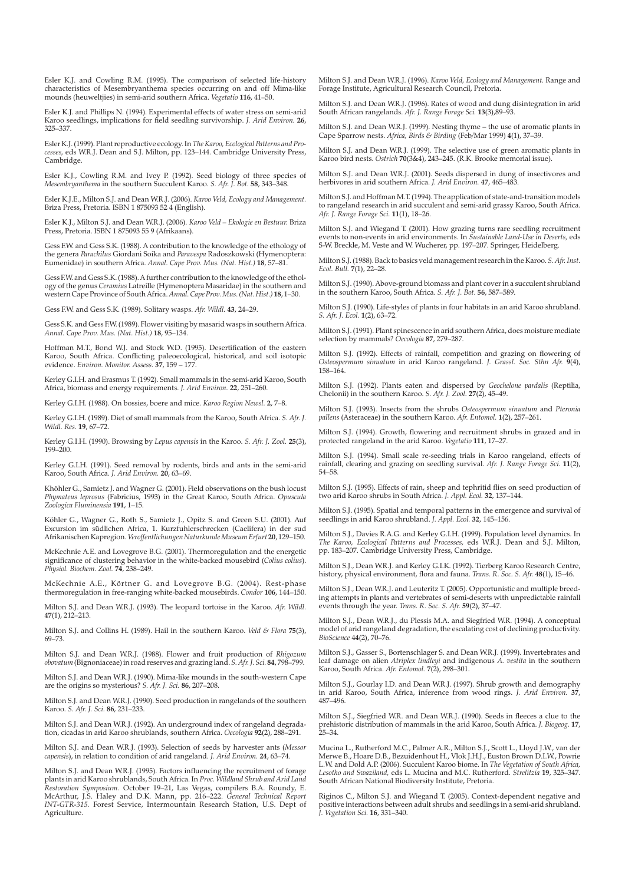Esler K.J. and Cowling R.M. (1995). The comparison of selected life-history characteristics of Mesembryanthema species occurring on and off Mima-like mounds (heuweltjies) in semi-arid southern Africa. *Vegetatio* **116**, 41–50.

Esler K.J. and Phillips N. (1994). Experimental effects of water stress on semi-arid Karoo seedlings, implications for field seedling survivorship. *J. Arid Environ.* **26**, 325–337.

Esler K.J. (1999). Plant reproductive ecology. In *The Karoo, Ecological Patterns and Processes,* eds W.R.J. Dean and S.J. Milton, pp. 123–144. Cambridge University Press, Cambridge.

Esler K.J., Cowling R.M. and Ivey P. (1992). Seed biology of three species of *Mesembryanthema* in the southern Succulent Karoo. *S. Afr. J. Bot.* **58**, 343–348.

Esler K.J.E., Milton S.J. and Dean W.R.J. (2006). *Karoo Veld, Ecology and Management.* Briza Press, Pretoria. ISBN 1 875093 52 4 (English).

Esler K.J., Milton S.J. and Dean W.R.J. (2006). *Karoo Veld – Ekologie en Bestuur.* Briza Press, Pretoria. ISBN 1 875093 55 9 (Afrikaans).

Gess F.W. and Gess S.K. (1988). A contribution to the knowledge of the ethology of<br>the genera *Parachilus* Giordani Soika and *Paravespa* Radoszkowski (Hymenoptera:<br>Eumenidae) in southern Africa. *Annal. Cape Prov. Mus. (N* 

Gess F.W. and Gess S.K. (1988). A further contribution to the knowledge of the ethology of the genus *Ceramius* Latreille (Hymenoptera Masaridae) in the southern and western Cape Province of South Africa.*Annal. Cape Prov.Mus. (Nat. Hist.)* **18**, 1–30.

Gess F.W. and Gess S.K. (1989). Solitary wasps. *Afr. Wildl.* **43**, 24–29.

Gess S.K. and Gess F.W. (1989). Flower visiting by masarid wasps in southern Africa. *Annal. Cape Prov. Mus. (Nat. Hist.)* **18**, 95–134.

Hoffman M.T., Bond W.J. and Stock W.D. (1995). Desertification of the eastern Karoo, South Africa. Conflicting paleoecological, historical, and soil isotopic evidence. *Environ. Monitor. Assess.* **37**, 159 – 177.

Kerley G.I.H. and Erasmus T. (1992). Small mammals in the semi-arid Karoo, South Africa, biomass and energy requirements. *J. Arid Environ.* **22**, 251–260.

Kerley G.I.H. (1988). On bossies, boere and mice. *Karoo Region Newsl.* **2**, 7–8.

Kerley G.I.H. (1989). Diet of small mammals from the Karoo, South Africa. *S. Afr. J. Wildl. Res.* **19**, 67–72.

Kerley G.I.H. (1990). Browsing by *Lepus capensis* in the Karoo. *S. Afr. J. Zool.* **25**(3), 199–200.

Kerley G.I.H. (1991). Seed removal by rodents, birds and ants in the semi-arid Karoo, South Africa. *J. Arid Environ.* **20**, 63–69.

Khöhler G., Samietz J. and Wagner G. (2001). Field observations on the bush locust *Phymateus leprosus* (Fabricius, 1993) in the Great Karoo, South Africa. *Opuscula Zoologica Fluminensia* **191**, 1–15.

Köhler G., Wagner G., Roth S., Samietz J., Opitz S. and Green S.U. (2001). Auf Excursion im südlichen Africa, 1. Kurzfuhlerschrecken (Caelifera) in der sud Afrikanischen Kapregion.*Veroffentlichungen NaturkundeMuseum Erfurt* **20**, 129–150.

McKechnie A.E. and Lovegrove B.G. (2001). Thermoregulation and the energetic significance of clustering behavior in the white-backed mousebird (*Colius colius*). *Physiol. Biochem. Zool.* **74**, 238–249.

McKechnie A.E., Körtner G. and Lovegrove B.G. (2004). Rest-phase thermoregulation in free-ranging white-backed mousebirds. *Condor* **106**, 144–150.

Milton S.J. and Dean W.R.J. (1993). The leopard tortoise in the Karoo. *Afr. Wildl.* **47**(1), 212–213.

Milton S.J. and Collins H. (1989). Hail in the southern Karoo. *Veld & Flora* **75**(3), 69–73.

Milton S.J. and Dean W.R.J. (1988). Flower and fruit production of *Rhigozum obovatum*(Bignoniaceae) in road reserves and grazing land. *S. Afr. J. Sci.* **84**, 798–799.

Milton S.J. and Dean W.R.J. (1990). Mima-like mounds in the south-western Cape are the origins so mysterious? *S. Afr. J. Sci.* **86**, 207–208.

Milton S.J. and Dean W.R.J. (1990). Seed production in rangelands of the southern Karoo. *S. Afr. J. Sci.* **86**, 231–233.

Milton S.J. and Dean W.R.J. (1992). An underground index of rangeland degradation, cicadas in arid Karoo shrublands, southern Africa. *Oecologia* **92**(2), 288–291.

Milton S.J. and Dean W.R.J. (1993). Selection of seeds by harvester ants (*Messor capensis*), in relation to condition of arid rangeland. *J. Arid Environ.* **24**, 63–74.

Milton S.J. and Dean W.R.J. (1995). Factors influencing the recruitment of forage<br>plants in arid Karoo shrublands, South Africa. In *Proc. Wildland Shrub and Arid Land*<br>*Restoration Symposium.* October 19–21, Las Vegas, co Agriculture.

Milton S.J. and Dean W.R.J. (1996). *Karoo Veld, Ecology and Management.* Range and Forage Institute, Agricultural Research Council, Pretoria.

Milton S.J. and Dean W.R.J. (1996). Rates of wood and dung disintegration in arid South African rangelands. *Afr. J. Range Forage Sci.* **13**(3),89–93.

Milton S.J. and Dean W.R.J. (1999). Nesting thyme – the use of aromatic plants in Cape Sparrow nests. *Africa, Birds & Birding* (Feb/Mar 1999) **4**(1), 37–39.

Milton S.J. and Dean W.R.J. (1999). The selective use of green aromatic plants in Karoo bird nests. *Ostrich* **70**(3&4), 243–245. (R.K. Brooke memorial issue).

Milton S.J. and Dean W.R.J. (2001). Seeds dispersed in dung of insectivores and herbivores in arid southern Africa. *J. Arid Environ.* **47**, 465–483.

Milton S.J. and Hoffman M.T. (1994). The application of state-and-transition models to rangeland research in arid succulent and semi-arid grassy Karoo, South Africa. *Afr. J. Range Forage Sci.* **11**(1), 18–26.

Milton S.J. and Wiegand T. (2001). How grazing turns rare seedling recruitment events to non-events in arid environments. In *Sustainable Land-Use in Deserts,* eds S-W. Breckle, M. Veste and W. Wucherer, pp. 197–207. Springer, Heidelberg.

Milton S.J. (1988). Back to basics veld management research in the Karoo. *S. Afr. Inst. Ecol. Bull.* **7**(1), 22–28.

Milton S.J. (1990). Above-ground biomass and plant cover in a succulent shrubland in the southern Karoo, South Africa. *S. Afr. J. Bot.* **56**, 587–589.

Milton S.J. (1990). Life-styles of plants in four habitats in an arid Karoo shrubland. *S. Afr. J. Ecol.* **1**(2), 63–72.

Milton S.J. (1991). Plant spinescence in arid southern Africa, does moisture mediate selection by mammals? *Oecologia* **87**, 279–287.

Milton S.J. (1992). Effects of rainfall, competition and grazing on flowering of *Osteospermum sinuatum* in arid Karoo rangeland. *J. Grassl. Soc. Sthn Afr.* **9**(4), 158–164.

Milton S.J. (1992). Plants eaten and dispersed by *Geochelone pardalis* (Reptilia, Chelonii) in the southern Karoo. *S. Afr. J. Zool.* **27**(2), 45–49.

Milton S.J. (1993). Insects from the shrubs *Osteospermum sinuatum* and *Pteronia pallens* (Asteraceae) in the southern Karoo. *Afr. Entomol.* **1**(2), 257–261.

Milton S.J. (1994). Growth, flowering and recruitment shrubs in grazed and in protected rangeland in the arid Karoo. *Vegetatio* **111**, 17–27.

Milton S.J. (1994). Small scale re-seeding trials in Karoo rangeland, effects of rainfall, clearing and grazing on seedling survival. *Afr. J. Range Forage Sci.* **11**(2), 54–58.

Milton S.J. (1995). Effects of rain, sheep and tephritid flies on seed production of two arid Karoo shrubs in South Africa. *J. Appl. Ecol.* **32**, 137–144.

Milton S.J. (1995). Spatial and temporal patterns in the emergence and survival of seedlings in arid Karoo shrubland. *J. Appl. Ecol.* **32**, 145–156.

Milton S.J., Davies R.A.G. and Kerley G.I.H. (1999). Population level dynamics. In *The Karoo, Ecological Patterns and Processes,* eds W.R.J. Dean and S.J. Milton, pp. 183–207. Cambridge University Press, Cambridge.

Milton S.J., Dean W.R.J. and Kerley G.I.K. (1992). Tierberg Karoo Research Centre, history, physical environment, flora and fauna. *Trans. R. Soc. S. Afr.* **48**(1), 15–46.

Milton S.J., Dean W.R.J. and Leuteritz T. (2005). Opportunistic and multiple breeding attempts in plants and vertebrates of semi-deserts with unpredictable rainfall events through the year. *Trans. R. Soc. S. Afr.* **59**(2), 37–47.

Milton S.J., Dean W.R.J., du Plessis M.A. and Siegfried W.R. (1994). A conceptual model of arid rangeland degradation, the escalating cost of declining productivity. *BioScience* 4**4**(2), 70–76.

Milton S.J., Gasser S., Bortenschlager S. and Dean W.R.J. (1999). Invertebrates and leaf damage on alien *Atriplex lindleyi* and indigenous *A. vestita* in the southern Karoo, South Africa. *Afr. Entomol.* **7**(2), 298–301.

Milton S.J., Gourlay I.D. and Dean W.R.J. (1997). Shrub growth and demography in arid Karoo, South Africa, inference from wood rings. *J. Arid Environ.* **37**, 487–496.mm

Milton S.J., Siegfried W.R. and Dean W.R.J. (1990). Seeds in fleeces a clue to the prehistoric distribution of mammals in the arid Karoo, South Africa. *J. Biogeog.* **17**, 25–34.

Mucina L., Rutherford M.C., Palmer A.R., Milton S.J., Scott L., Lloyd J.W., van der Merwe B., Hoare D.B., Bezuidenhout H., Vlok J.H.J., Euston Brown D.I.W., Powrie L.W. and Dold A.P. (2006). Succulent Karoo biome. In *The Vegetation of South Africa, Lesotho and Swaziland,* eds L. Mucina and M.C. Rutherford. *Strelitzia* **19**, 325–347. South African National Biodiversity Institute, Pretoria.

Riginos C., Milton S.J. and Wiegand T. (2005). Context-dependent negative and positive interactions between adult shrubs and seedlings in a semi-arid shrubland. *J. Vegetation Sci.* **16**, 331–340.